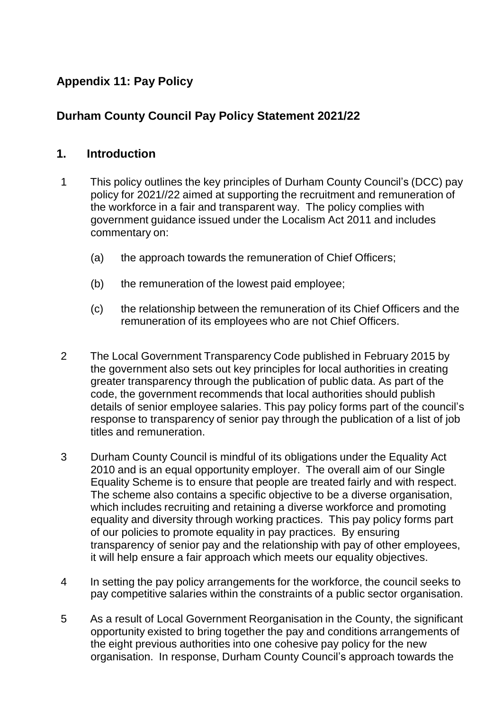## **Appendix 11: Pay Policy**

## **Durham County Council Pay Policy Statement 2021/22**

#### **1. Introduction**

- 1 This policy outlines the key principles of Durham County Council's (DCC) pay policy for 2021//22 aimed at supporting the recruitment and remuneration of the workforce in a fair and transparent way. The policy complies with government guidance issued under the Localism Act 2011 and includes commentary on:
	- (a) the approach towards the remuneration of Chief Officers;
	- (b) the remuneration of the lowest paid employee;
	- (c) the relationship between the remuneration of its Chief Officers and the remuneration of its employees who are not Chief Officers.
- 2 The Local Government Transparency Code published in February 2015 by the government also sets out key principles for local authorities in creating greater transparency through the publication of public data. As part of the code, the government recommends that local authorities should publish details of senior employee salaries. This pay policy forms part of the council's response to transparency of senior pay through the publication of a list of job titles and remuneration.
- 3 Durham County Council is mindful of its obligations under the Equality Act 2010 and is an equal opportunity employer. The overall aim of our Single Equality Scheme is to ensure that people are treated fairly and with respect. The scheme also contains a specific objective to be a diverse organisation, which includes recruiting and retaining a diverse workforce and promoting equality and diversity through working practices. This pay policy forms part of our policies to promote equality in pay practices. By ensuring transparency of senior pay and the relationship with pay of other employees, it will help ensure a fair approach which meets our equality objectives.
- 4 In setting the pay policy arrangements for the workforce, the council seeks to pay competitive salaries within the constraints of a public sector organisation.
- 5 As a result of Local Government Reorganisation in the County, the significant opportunity existed to bring together the pay and conditions arrangements of the eight previous authorities into one cohesive pay policy for the new organisation. In response, Durham County Council's approach towards the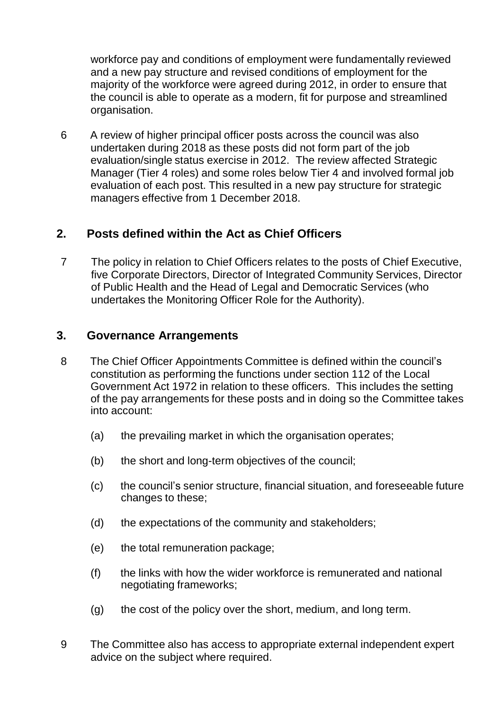workforce pay and conditions of employment were fundamentally reviewed and a new pay structure and revised conditions of employment for the majority of the workforce were agreed during 2012, in order to ensure that the council is able to operate as a modern, fit for purpose and streamlined organisation.

6 A review of higher principal officer posts across the council was also undertaken during 2018 as these posts did not form part of the job evaluation/single status exercise in 2012. The review affected Strategic Manager (Tier 4 roles) and some roles below Tier 4 and involved formal job evaluation of each post. This resulted in a new pay structure for strategic managers effective from 1 December 2018.

## **2. Posts defined within the Act as Chief Officers**

7 The policy in relation to Chief Officers relates to the posts of Chief Executive, five Corporate Directors, Director of Integrated Community Services, Director of Public Health and the Head of Legal and Democratic Services (who undertakes the Monitoring Officer Role for the Authority).

#### **3. Governance Arrangements**

- 8 The Chief Officer Appointments Committee is defined within the council's constitution as performing the functions under section 112 of the Local Government Act 1972 in relation to these officers. This includes the setting of the pay arrangements for these posts and in doing so the Committee takes into account:
	- (a) the prevailing market in which the organisation operates;
	- (b) the short and long-term objectives of the council;
	- (c) the council's senior structure, financial situation, and foreseeable future changes to these;
	- (d) the expectations of the community and stakeholders;
	- (e) the total remuneration package;
	- (f) the links with how the wider workforce is remunerated and national negotiating frameworks;
	- (g) the cost of the policy over the short, medium, and long term.
- 9 The Committee also has access to appropriate external independent expert advice on the subject where required.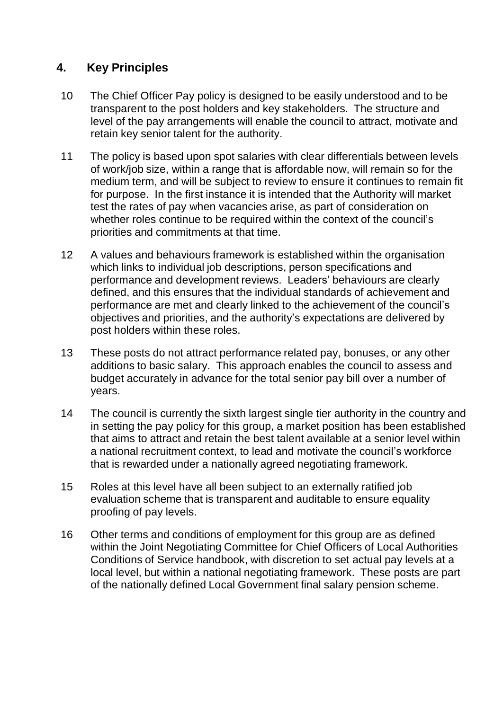## **4. Key Principles**

- 10 The Chief Officer Pay policy is designed to be easily understood and to be transparent to the post holders and key stakeholders. The structure and level of the pay arrangements will enable the council to attract, motivate and retain key senior talent for the authority.
- 11 The policy is based upon spot salaries with clear differentials between levels of work/job size, within a range that is affordable now, will remain so for the medium term, and will be subject to review to ensure it continues to remain fit for purpose. In the first instance it is intended that the Authority will market test the rates of pay when vacancies arise, as part of consideration on whether roles continue to be required within the context of the council's priorities and commitments at that time.
- 12 A values and behaviours framework is established within the organisation which links to individual job descriptions, person specifications and performance and development reviews. Leaders' behaviours are clearly defined, and this ensures that the individual standards of achievement and performance are met and clearly linked to the achievement of the council's objectives and priorities, and the authority's expectations are delivered by post holders within these roles.
- 13 These posts do not attract performance related pay, bonuses, or any other additions to basic salary. This approach enables the council to assess and budget accurately in advance for the total senior pay bill over a number of years.
- 14 The council is currently the sixth largest single tier authority in the country and in setting the pay policy for this group, a market position has been established that aims to attract and retain the best talent available at a senior level within a national recruitment context, to lead and motivate the council's workforce that is rewarded under a nationally agreed negotiating framework.
- 15 Roles at this level have all been subject to an externally ratified job evaluation scheme that is transparent and auditable to ensure equality proofing of pay levels.
- 16 Other terms and conditions of employment for this group are as defined within the Joint Negotiating Committee for Chief Officers of Local Authorities Conditions of Service handbook, with discretion to set actual pay levels at a local level, but within a national negotiating framework. These posts are part of the nationally defined Local Government final salary pension scheme.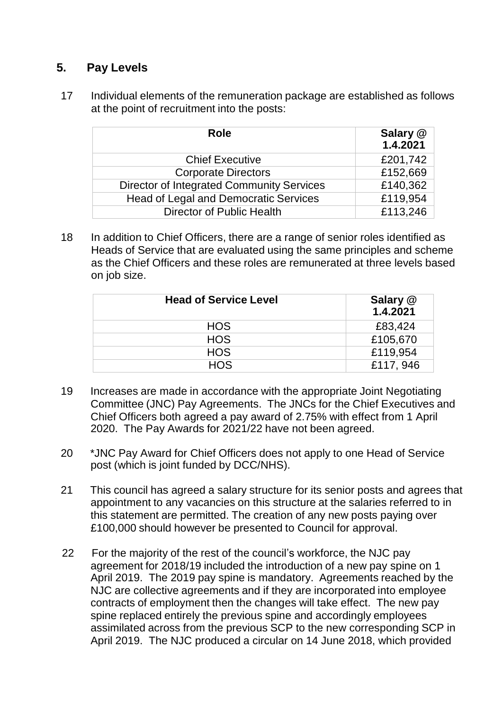## **5. Pay Levels**

17 Individual elements of the remuneration package are established as follows at the point of recruitment into the posts:

| <b>Role</b>                                      | Salary @<br>1.4.2021 |
|--------------------------------------------------|----------------------|
| <b>Chief Executive</b>                           | £201,742             |
| <b>Corporate Directors</b>                       | £152,669             |
| <b>Director of Integrated Community Services</b> | £140,362             |
| Head of Legal and Democratic Services            | £119,954             |
| <b>Director of Public Health</b>                 | £113,246             |

18 In addition to Chief Officers, there are a range of senior roles identified as Heads of Service that are evaluated using the same principles and scheme as the Chief Officers and these roles are remunerated at three levels based on job size.

| <b>Head of Service Level</b> | Salary @<br>1.4.2021 |
|------------------------------|----------------------|
| <b>HOS</b>                   | £83,424              |
| <b>HOS</b>                   | £105,670             |
| <b>HOS</b>                   | £119,954             |
| <b>HOS</b>                   | £117, 946            |

- 19 Increases are made in accordance with the appropriate Joint Negotiating Committee (JNC) Pay Agreements. The JNCs for the Chief Executives and Chief Officers both agreed a pay award of 2.75% with effect from 1 April 2020. The Pay Awards for 2021/22 have not been agreed.
- 20 \*JNC Pay Award for Chief Officers does not apply to one Head of Service post (which is joint funded by DCC/NHS).
- 21 This council has agreed a salary structure for its senior posts and agrees that appointment to any vacancies on this structure at the salaries referred to in this statement are permitted. The creation of any new posts paying over £100,000 should however be presented to Council for approval.
- 22 For the majority of the rest of the council's workforce, the NJC pay agreement for 2018/19 included the introduction of a new pay spine on 1 April 2019. The 2019 pay spine is mandatory. Agreements reached by the NJC are collective agreements and if they are incorporated into employee contracts of employment then the changes will take effect. The new pay spine replaced entirely the previous spine and accordingly employees assimilated across from the previous SCP to the new corresponding SCP in April 2019. The NJC produced a circular on 14 June 2018, which provided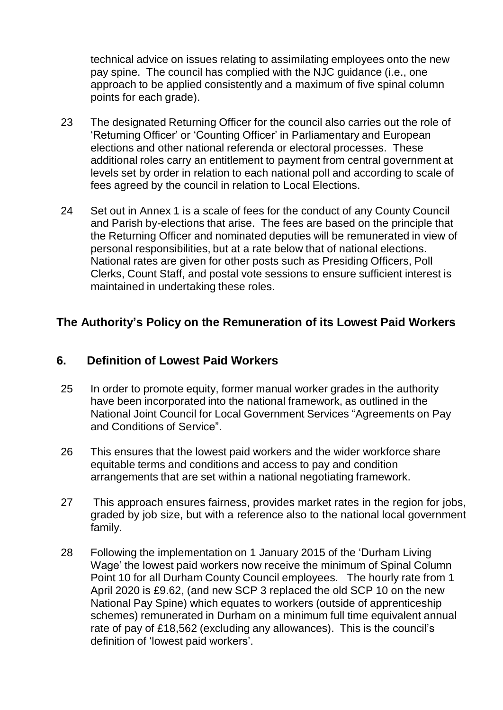technical advice on issues relating to assimilating employees onto the new pay spine. The council has complied with the NJC guidance (i.e., one approach to be applied consistently and a maximum of five spinal column points for each grade).

- 23 The designated Returning Officer for the council also carries out the role of 'Returning Officer' or 'Counting Officer' in Parliamentary and European elections and other national referenda or electoral processes. These additional roles carry an entitlement to payment from central government at levels set by order in relation to each national poll and according to scale of fees agreed by the council in relation to Local Elections.
- 24 Set out in Annex 1 is a scale of fees for the conduct of any County Council and Parish by-elections that arise. The fees are based on the principle that the Returning Officer and nominated deputies will be remunerated in view of personal responsibilities, but at a rate below that of national elections. National rates are given for other posts such as Presiding Officers, Poll Clerks, Count Staff, and postal vote sessions to ensure sufficient interest is maintained in undertaking these roles.

## **The Authority's Policy on the Remuneration of its Lowest Paid Workers**

### **6. Definition of Lowest Paid Workers**

- 25 In order to promote equity, former manual worker grades in the authority have been incorporated into the national framework, as outlined in the National Joint Council for Local Government Services "Agreements on Pay and Conditions of Service".
- 26 This ensures that the lowest paid workers and the wider workforce share equitable terms and conditions and access to pay and condition arrangements that are set within a national negotiating framework.
- 27 This approach ensures fairness, provides market rates in the region for jobs, graded by job size, but with a reference also to the national local government family.
- 28 Following the implementation on 1 January 2015 of the 'Durham Living Wage' the lowest paid workers now receive the minimum of Spinal Column Point 10 for all Durham County Council employees. The hourly rate from 1 April 2020 is £9.62, (and new SCP 3 replaced the old SCP 10 on the new National Pay Spine) which equates to workers (outside of apprenticeship schemes) remunerated in Durham on a minimum full time equivalent annual rate of pay of £18,562 (excluding any allowances). This is the council's definition of 'lowest paid workers'.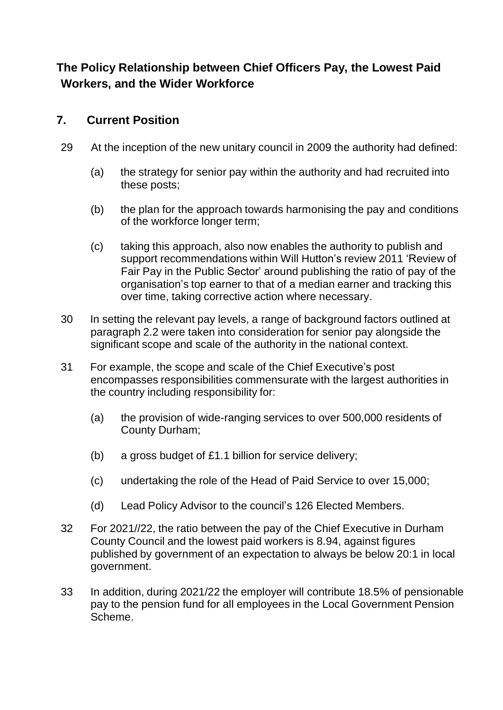# **The Policy Relationship between Chief Officers Pay, the Lowest Paid Workers, and the Wider Workforce**

## **7. Current Position**

- 29 At the inception of the new unitary council in 2009 the authority had defined:
	- (a) the strategy for senior pay within the authority and had recruited into these posts;
	- (b) the plan for the approach towards harmonising the pay and conditions of the workforce longer term;
	- (c) taking this approach, also now enables the authority to publish and support recommendations within Will Hutton's review 2011 'Review of Fair Pay in the Public Sector' around publishing the ratio of pay of the organisation's top earner to that of a median earner and tracking this over time, taking corrective action where necessary.
- 30 In setting the relevant pay levels, a range of background factors outlined at paragraph 2.2 were taken into consideration for senior pay alongside the significant scope and scale of the authority in the national context.
- 31 For example, the scope and scale of the Chief Executive's post encompasses responsibilities commensurate with the largest authorities in the country including responsibility for:
	- (a) the provision of wide-ranging services to over 500,000 residents of County Durham;
	- (b) a gross budget of £1.1 billion for service delivery;
	- (c) undertaking the role of the Head of Paid Service to over 15,000;
	- (d) Lead Policy Advisor to the council's 126 Elected Members.
- 32 For 2021//22, the ratio between the pay of the Chief Executive in Durham County Council and the lowest paid workers is 8.94, against figures published by government of an expectation to always be below 20:1 in local government.
- 33 In addition, during 2021/22 the employer will contribute 18.5% of pensionable pay to the pension fund for all employees in the Local Government Pension Scheme.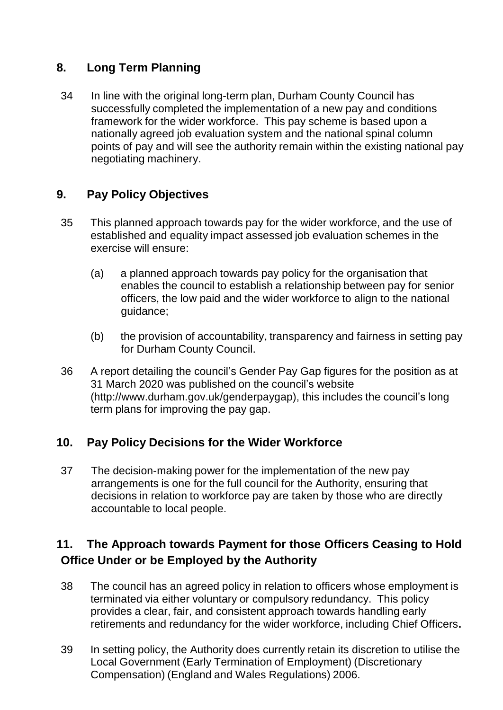## **8. Long Term Planning**

34 In line with the original long-term plan, Durham County Council has successfully completed the implementation of a new pay and conditions framework for the wider workforce. This pay scheme is based upon a nationally agreed job evaluation system and the national spinal column points of pay and will see the authority remain within the existing national pay negotiating machinery.

## **9. Pay Policy Objectives**

- 35 This planned approach towards pay for the wider workforce, and the use of established and equality impact assessed job evaluation schemes in the exercise will ensure:
	- (a) a planned approach towards pay policy for the organisation that enables the council to establish a relationship between pay for senior officers, the low paid and the wider workforce to align to the national guidance;
	- (b) the provision of accountability, transparency and fairness in setting pay for Durham County Council.
- 36 A report detailing the council's Gender Pay Gap figures for the position as at 31 March 2020 was published on the council's websit[e](http://www.durham.gov.uk/genderpaygap) [\(http://www.durham.gov.uk/genderpaygap\),](http://www.durham.gov.uk/genderpaygap) this includes the council's long term plans for improving the pay gap.

### **10. Pay Policy Decisions for the Wider Workforce**

37 The decision-making power for the implementation of the new pay arrangements is one for the full council for the Authority, ensuring that decisions in relation to workforce pay are taken by those who are directly accountable to local people.

# **11. The Approach towards Payment for those Officers Ceasing to Hold Office Under or be Employed by the Authority**

- 38 The council has an agreed policy in relation to officers whose employment is terminated via either voluntary or compulsory redundancy. This policy provides a clear, fair, and consistent approach towards handling early retirements and redundancy for the wider workforce, including Chief Officers**.**
- 39 In setting policy, the Authority does currently retain its discretion to utilise the Local Government (Early Termination of Employment) (Discretionary Compensation) (England and Wales Regulations) 2006.